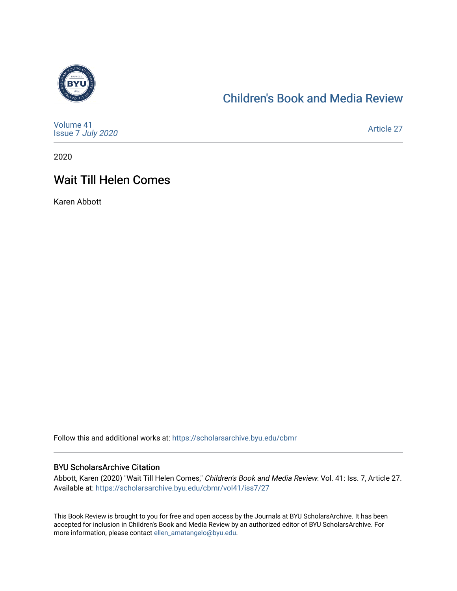

#### [Children's Book and Media Review](https://scholarsarchive.byu.edu/cbmr)

| Volume 41<br>Issue 7 July 2020 | Article 27 |
|--------------------------------|------------|
|--------------------------------|------------|

2020

### Wait Till Helen Comes

Karen Abbott

Follow this and additional works at: [https://scholarsarchive.byu.edu/cbmr](https://scholarsarchive.byu.edu/cbmr?utm_source=scholarsarchive.byu.edu%2Fcbmr%2Fvol41%2Fiss7%2F27&utm_medium=PDF&utm_campaign=PDFCoverPages) 

#### BYU ScholarsArchive Citation

Abbott, Karen (2020) "Wait Till Helen Comes," Children's Book and Media Review: Vol. 41: Iss. 7, Article 27. Available at: [https://scholarsarchive.byu.edu/cbmr/vol41/iss7/27](https://scholarsarchive.byu.edu/cbmr/vol41/iss7/27?utm_source=scholarsarchive.byu.edu%2Fcbmr%2Fvol41%2Fiss7%2F27&utm_medium=PDF&utm_campaign=PDFCoverPages)

This Book Review is brought to you for free and open access by the Journals at BYU ScholarsArchive. It has been accepted for inclusion in Children's Book and Media Review by an authorized editor of BYU ScholarsArchive. For more information, please contact [ellen\\_amatangelo@byu.edu.](mailto:ellen_amatangelo@byu.edu)